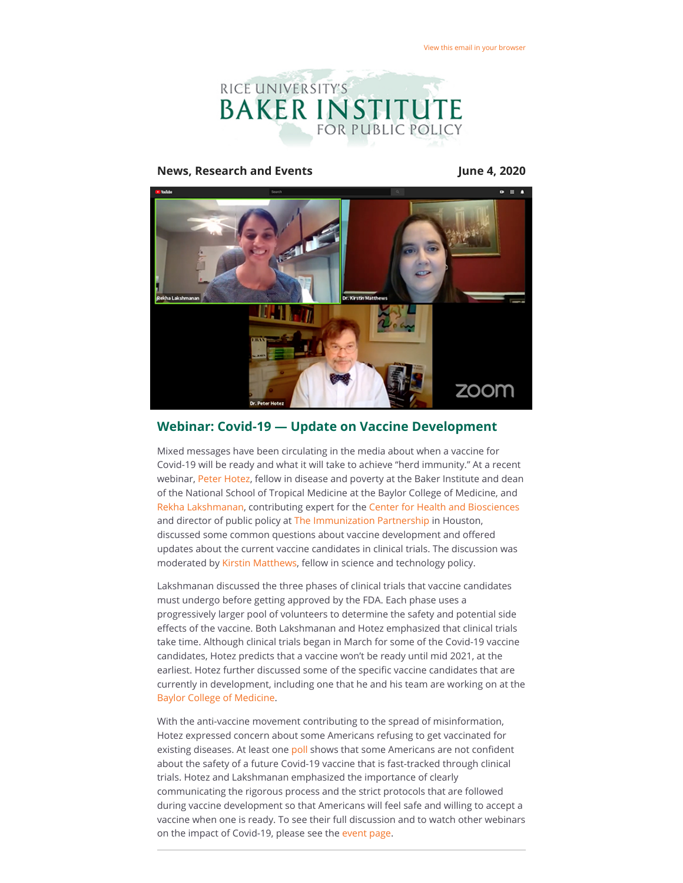

#### **News, Research and Events June 4, 2020**



## **Webinar: Covid-19 — Update on Vaccine Development**

Mixed messages have been circulating in the media about when a vaccine for Covid-19 will be ready and what it will take to achieve "herd immunity." At a recent webinar, [Peter Hotez](https://riceconnect.rice.edu/page.redir?target=https%3a%2f%2fwww.bakerinstitute.org%2fexperts%2fpeter-j-hotez%2f&srcid=137879&srctid=1&erid=95df2b89-ee1d-4ab4-9834-5617dcbc3700&trid=95df2b89-ee1d-4ab4-9834-5617dcbc3700), fellow in disease and poverty at the Baker Institute and dean of the National School of Tropical Medicine at the Baylor College of Medicine, and [Rekha Lakshmanan](https://riceconnect.rice.edu/page.redir?target=https%3a%2f%2fwww.bakerinstitute.org%2fexperts%2frekha-lakshmanan%2f&srcid=137879&srctid=1&erid=95df2b89-ee1d-4ab4-9834-5617dcbc3700&trid=95df2b89-ee1d-4ab4-9834-5617dcbc3700), contributing expert for the [Center for Health and Biosciences](https://riceconnect.rice.edu/page.redir?target=https%3a%2f%2fwww.bakerinstitute.org%2fcenter-for-health-and-biosciences%2f&srcid=137879&srctid=1&erid=95df2b89-ee1d-4ab4-9834-5617dcbc3700&trid=95df2b89-ee1d-4ab4-9834-5617dcbc3700) and director of public policy at [The Immunization Partnership](https://riceconnect.rice.edu/page.redir?target=https%3a%2f%2fimmunizeusa.org%2f&srcid=137879&srctid=1&erid=95df2b89-ee1d-4ab4-9834-5617dcbc3700&trid=95df2b89-ee1d-4ab4-9834-5617dcbc3700) in Houston, discussed some common questions about vaccine development and offered updates about the current vaccine candidates in clinical trials. The discussion was moderated by [Kirstin Matthews](https://riceconnect.rice.edu/page.redir?target=https%3a%2f%2fwww.bakerinstitute.org%2fexperts%2fkirstin-rw-matthews%2f&srcid=137879&srctid=1&erid=95df2b89-ee1d-4ab4-9834-5617dcbc3700&trid=95df2b89-ee1d-4ab4-9834-5617dcbc3700), fellow in science and technology policy.

Lakshmanan discussed the three phases of clinical trials that vaccine candidates must undergo before getting approved by the FDA. Each phase uses a progressively larger pool of volunteers to determine the safety and potential side effects of the vaccine. Both Lakshmanan and Hotez emphasized that clinical trials take time. Although clinical trials began in March for some of the Covid-19 vaccine candidates, Hotez predicts that a vaccine won't be ready until mid 2021, at the earliest. Hotez further discussed some of the specific vaccine candidates that are currently in development, including one that he and his team are working on at the [Baylor College of Medicine](https://riceconnect.rice.edu/page.redir?target=https%3a%2f%2fwww.bcm.edu%2f&srcid=137879&srctid=1&erid=95df2b89-ee1d-4ab4-9834-5617dcbc3700&trid=95df2b89-ee1d-4ab4-9834-5617dcbc3700).

With the anti-vaccine movement contributing to the spread of misinformation, Hotez expressed concern about some Americans refusing to get vaccinated for existing diseases. At least one [poll](https://riceconnect.rice.edu/page.redir?target=https%3a%2f%2fwww.reuters.com%2farticle%2fus-health-coronavirus-vaccine-poll-exclu%2fexclusive-a-quarter-of-americans-are-hesitant-about-a-coronavirus-vaccine-reuters-ipsos-poll-idUSKBN22X19G&srcid=137879&srctid=1&erid=95df2b89-ee1d-4ab4-9834-5617dcbc3700&trid=95df2b89-ee1d-4ab4-9834-5617dcbc3700) shows that some Americans are not confident about the safety of a future Covid-19 vaccine that is fast-tracked through clinical trials. Hotez and Lakshmanan emphasized the importance of clearly communicating the rigorous process and the strict protocols that are followed during vaccine development so that Americans will feel safe and willing to accept a vaccine when one is ready. To see their full discussion and to watch other webinars on the impact of Covid-19, please see the [event page.](https://riceconnect.rice.edu/page.redir?target=https%3a%2f%2fwww.bakerinstitute.org%2fevents%2f2093%2f&srcid=137879&srctid=1&erid=95df2b89-ee1d-4ab4-9834-5617dcbc3700&trid=95df2b89-ee1d-4ab4-9834-5617dcbc3700)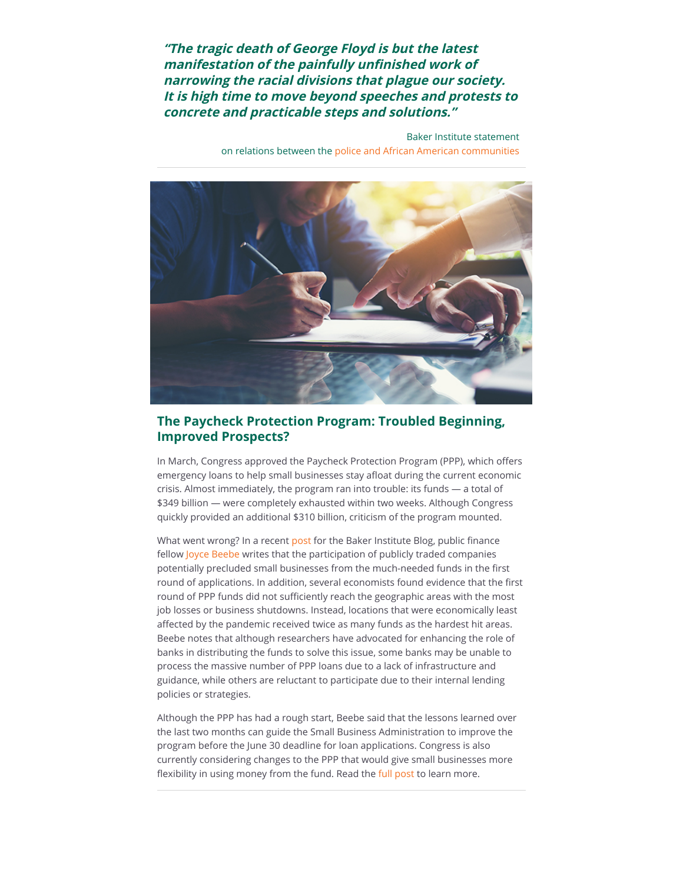**"The tragic death of George Floyd is but the latest manifestation of the painfully unfinished work of narrowing the racial divisions that plague our society. It is high time to move beyond speeches and protests to concrete and practicable steps and solutions."**

> Baker Institute statement on relations between the [police and African American communities](https://riceconnect.rice.edu/page.redir?target=https%3a%2f%2fwww.bakerinstitute.org%2fbuilding-trust-between-police-and-community%2f&srcid=137879&srctid=1&erid=95df2b89-ee1d-4ab4-9834-5617dcbc3700&trid=95df2b89-ee1d-4ab4-9834-5617dcbc3700)



# **The Paycheck Protection Program: Troubled Beginning, Improved Prospects?**

In March, Congress approved the Paycheck Protection Program (PPP), which offers emergency loans to help small businesses stay afloat during the current economic crisis. Almost immediately, the program ran into trouble: its funds — a total of \$349 billion — were completely exhausted within two weeks. Although Congress quickly provided an additional \$310 billion, criticism of the program mounted.

What went wrong? In a recent [post](https://riceconnect.rice.edu/page.redir?target=http%3a%2f%2fbakerinstituteblog.blogs.rice.edu%2f2020%2f05%2f27%2fthe-paycheck-protection-program-troubled-beginning-improved-perspectives%2f&srcid=137879&srctid=1&erid=95df2b89-ee1d-4ab4-9834-5617dcbc3700&trid=95df2b89-ee1d-4ab4-9834-5617dcbc3700) for the Baker Institute Blog, public finance fellow [Joyce Beebe](https://riceconnect.rice.edu/page.redir?target=https%3a%2f%2fwww.bakerinstitute.org%2fexperts%2fjoyce-beebe%2f&srcid=137879&srctid=1&erid=95df2b89-ee1d-4ab4-9834-5617dcbc3700&trid=95df2b89-ee1d-4ab4-9834-5617dcbc3700) writes that the participation of publicly traded companies potentially precluded small businesses from the much-needed funds in the first round of applications. In addition, several economists found evidence that the first round of PPP funds did not sufficiently reach the geographic areas with the most job losses or business shutdowns. Instead, locations that were economically least affected by the pandemic received twice as many funds as the hardest hit areas. Beebe notes that although researchers have advocated for enhancing the role of banks in distributing the funds to solve this issue, some banks may be unable to process the massive number of PPP loans due to a lack of infrastructure and guidance, while others are reluctant to participate due to their internal lending policies or strategies.

Although the PPP has had a rough start, Beebe said that the lessons learned over the last two months can guide the Small Business Administration to improve the program before the June 30 deadline for loan applications. Congress is also currently considering changes to the PPP that would give small businesses more flexibility in using money from the fund. Read the [full post](https://riceconnect.rice.edu/page.redir?target=http%3a%2f%2fbakerinstituteblog.blogs.rice.edu%2f2020%2f05%2f27%2fthe-paycheck-protection-program-troubled-beginning-improved-perspectives%2f&srcid=137879&srctid=1&erid=95df2b89-ee1d-4ab4-9834-5617dcbc3700&trid=95df2b89-ee1d-4ab4-9834-5617dcbc3700) to learn more.